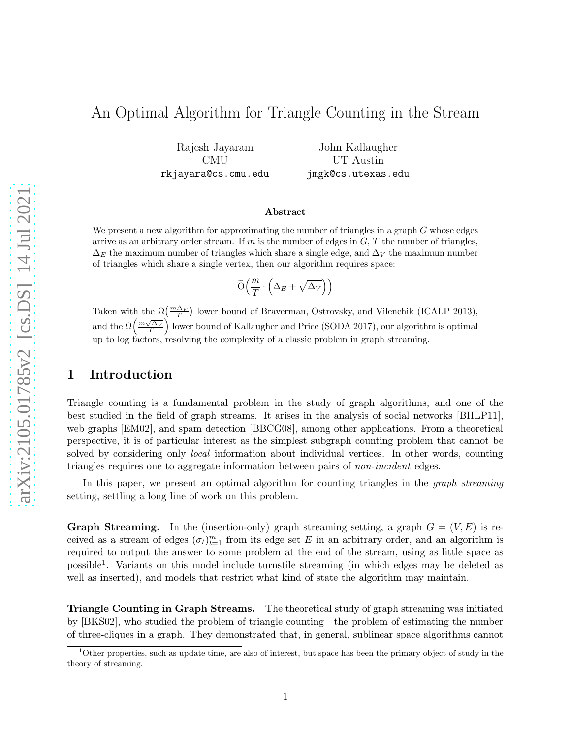# An Optimal Algorithm for Triangle Counting in the Stream

Rajesh Jayaram CMU rkjayara@cs.cmu.edu

John Kallaugher UT Austin jmgk@cs.utexas.edu

#### Abstract

We present a new algorithm for approximating the number of triangles in a graph  $G$  whose edges arrive as an arbitrary order stream. If m is the number of edges in  $G, T$  the number of triangles,  $\Delta_E$  the maximum number of triangles which share a single edge, and  $\Delta_V$  the maximum number of triangles which share a single vertex, then our algorithm requires space:

$$
\widetilde{\mathcal{O}}\Big(\frac{m}{T}\cdot \Big(\Delta_E + \sqrt{\Delta_V}\Big)\Big)
$$

Taken with the  $\Omega(\frac{m\Delta_E}{T})$  lower bound of Braverman, Ostrovsky, and Vilenchik (ICALP 2013), and the  $\Omega\left(\frac{m\sqrt{\Delta_V}}{T}\right)$  lower bound of Kallaugher and Price (SODA 2017), our algorithm is optimal up to log factors, resolving the complexity of a classic problem in graph streaming.

### 1 Introduction

Triangle counting is a fundamental problem in the study of graph algorithms, and one of the best studied in the field of graph streams. It arises in the analysis of social networks [\[BHLP11\]](#page-9-0), web graphs [\[EM02\]](#page-9-1), and spam detection [\[BBCG08\]](#page-9-2), among other applications. From a theoretical perspective, it is of particular interest as the simplest subgraph counting problem that cannot be solved by considering only local information about individual vertices. In other words, counting triangles requires one to aggregate information between pairs of non-incident edges.

In this paper, we present an optimal algorithm for counting triangles in the *graph streaming* setting, settling a long line of work on this problem.

**Graph Streaming.** In the (insertion-only) graph streaming setting, a graph  $G = (V, E)$  is received as a stream of edges  $(\sigma_t)_{t=1}^m$  from its edge set E in an arbitrary order, and an algorithm is required to output the answer to some problem at the end of the stream, using as little space as possible<sup>[1](#page-0-0)</sup>. Variants on this model include turnstile streaming (in which edges may be deleted as well as inserted), and models that restrict what kind of state the algorithm may maintain.

Triangle Counting in Graph Streams. The theoretical study of graph streaming was initiated by [\[BKS02\]](#page-9-3), who studied the problem of triangle counting—the problem of estimating the number of three-cliques in a graph. They demonstrated that, in general, sublinear space algorithms cannot

<span id="page-0-0"></span><sup>&</sup>lt;sup>1</sup>Other properties, such as update time, are also of interest, but space has been the primary object of study in the theory of streaming.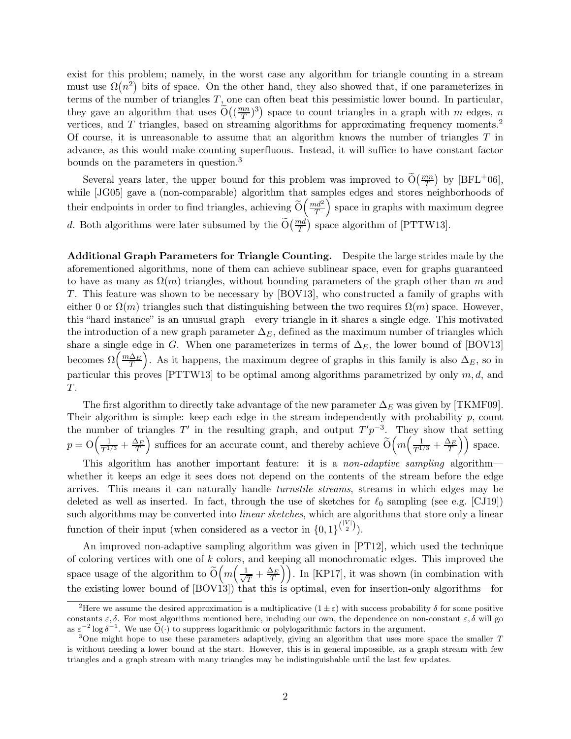exist for this problem; namely, in the worst case any algorithm for triangle counting in a stream must use  $\Omega(n^2)$  bits of space. On the other hand, they also showed that, if one parameterizes in terms of the number of triangles  $T$ , one can often beat this pessimistic lower bound. In particular, they gave an algorithm that uses  $\widetilde{O}\left(\left(\frac{mn}{T}\right)\right)$  $\left(\frac{mn}{T}\right)^3$ ) space to count triangles in a graph with m edges, n vertices, and T triangles, based on streaming algorithms for approximating frequency moments.<sup>[2](#page-1-0)</sup> Of course, it is unreasonable to assume that an algorithm knows the number of triangles  $T$  in advance, as this would make counting superfluous. Instead, it will suffice to have constant factor bounds on the parameters in question.[3](#page-1-1)

Several years later, the upper bound for this problem was improved to  $\tilde{O}(\frac{mn}{T})$  by  $[BFL^+06]$ , while [\[JG05\]](#page-10-0) gave a (non-comparable) algorithm that samples edges and stores neighborhoods of their endpoints in order to find triangles, achieving  $\widetilde{O}\left(\frac{md^2}{T}\right)$ T  $\overline{\phantom{a}}$  space in graphs with maximum degree d. Both algorithms were later subsumed by the  $\widetilde{O}(\frac{md}{T})$  space algorithm of [\[PTTW13\]](#page-10-1).

Additional Graph Parameters for Triangle Counting. Despite the large strides made by the aforementioned algorithms, none of them can achieve sublinear space, even for graphs guaranteed to have as many as  $\Omega(m)$  triangles, without bounding parameters of the graph other than m and T. This feature was shown to be necessary by [\[BOV13\]](#page-9-5), who constructed a family of graphs with either 0 or  $\Omega(m)$  triangles such that distinguishing between the two requires  $\Omega(m)$  space. However, this "hard instance" is an unusual graph—every triangle in it shares a single edge. This motivated the introduction of a new graph parameter  $\Delta_E$ , defined as the maximum number of triangles which share a single edge in G. When one parameterizes in terms of  $\Delta_E$ , the lower bound of [\[BOV13\]](#page-9-5) becomes  $\Omega\left(\frac{m\Delta_E}{T}\right)$ ). As it happens, the maximum degree of graphs in this family is also  $\Delta_E$ , so in particular this proves [\[PTTW13\]](#page-10-1) to be optimal among algorithms parametrized by only  $m, d$ , and T.

The first algorithm to directly take advantage of the new parameter  $\Delta_E$  was given by [\[TKMF09\]](#page-10-2). Their algorithm is simple: keep each edge in the stream independently with probability  $p$ , count the number of triangles  $T'$  in the resulting graph, and output  $T'p^{-3}$ . They show that setting  $p = \mathcal{O}\left(\frac{1}{T^{1/3}} + \frac{\Delta_E}{T}\right)$ ) suffices for an accurate count, and thereby achieve  $\tilde{O}\left(m\left(\frac{1}{T^{1/3}} + \frac{\Delta_E}{T}\right)\right)$  space.

This algorithm has another important feature: it is a *non-adaptive sampling* algorithm whether it keeps an edge it sees does not depend on the contents of the stream before the edge arrives. This means it can naturally handle turnstile streams, streams in which edges may be deleted as well as inserted. In fact, through the use of sketches for  $\ell_0$  sampling (see e.g. [\[CJ19\]](#page-9-6)) such algorithms may be converted into *linear sketches*, which are algorithms that store only a linear function of their input (when considered as a vector in  $\{0,1\}^{\binom{|V|}{2}}$ ).

An improved non-adaptive sampling algorithm was given in [\[PT12\]](#page-10-3), which used the technique of coloring vertices with one of k colors, and keeping all monochromatic edges. This improved the space usage of the algorithm to  $\widetilde{O}\left(m\left(\frac{1}{\sqrt{n}}\right)\right)$  $\left(\frac{1}{T} + \frac{\Delta_E}{T}\right)$ . In [\[KP17\]](#page-10-4), it was shown (in combination with the existing lower bound of [\[BOV13\]](#page-9-5)) that this is optimal, even for insertion-only algorithms—for

<span id="page-1-0"></span><sup>&</sup>lt;sup>2</sup>Here we assume the desired approximation is a multiplicative  $(1 \pm \varepsilon)$  with success probability  $\delta$  for some positive constants  $\varepsilon, \delta$ . For most algorithms mentioned here, including our own, the dependence on non-constant  $\varepsilon, \delta$  will go as  $\varepsilon^{-2} \log \delta^{-1}$ . We use  $\widetilde{O}(\cdot)$  to suppress logarithmic or polylogarithmic factors in the argument.

<span id="page-1-1"></span><sup>&</sup>lt;sup>3</sup>One might hope to use these parameters adaptively, giving an algorithm that uses more space the smaller  $T$ is without needing a lower bound at the start. However, this is in general impossible, as a graph stream with few triangles and a graph stream with many triangles may be indistinguishable until the last few updates.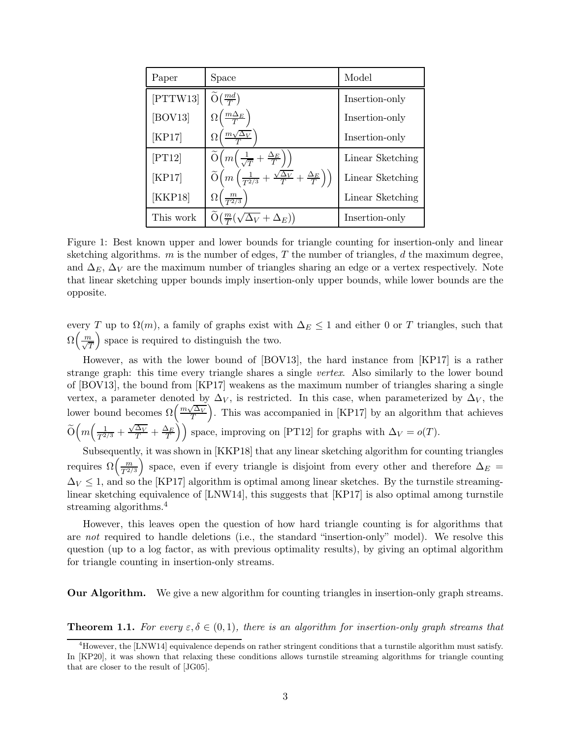| Paper     | Space                                                                                                    | Model            |
|-----------|----------------------------------------------------------------------------------------------------------|------------------|
| [PTTW13]  | $\widetilde{O}(\frac{md}{T})$                                                                            | Insertion-only   |
| [BOV13]   | $\left(\frac{m\Delta_E}{T}\right)$<br>$\Omega($                                                          | Insertion-only   |
| [KP17]    | $m\sqrt{\Delta_V}$<br>Ω                                                                                  | Insertion-only   |
| [PT12]    | $\widetilde{O}\left(m\left(\frac{1}{\sqrt{T}}+\frac{\Delta_E}{T}\right)\right)$                          | Linear Sketching |
| [KP17]    | $\widetilde{O}\left(m\left(\frac{1}{T^{2/3}}+\frac{\sqrt{\Delta_V}}{T}+\frac{\Delta_E}{T}\right)\right)$ | Linear Sketching |
| [KKP18]   | $\frac{m}{T^{2/3}}$                                                                                      | Linear Sketching |
| This work | $\tilde{O}(\frac{m}{T}(\sqrt{\Delta_V}+\Delta_E))$                                                       | Insertion-only   |

Figure 1: Best known upper and lower bounds for triangle counting for insertion-only and linear sketching algorithms.  $m$  is the number of edges,  $T$  the number of triangles,  $d$  the maximum degree, and  $\Delta_E$ ,  $\Delta_V$  are the maximum number of triangles sharing an edge or a vertex respectively. Note that linear sketching upper bounds imply insertion-only upper bounds, while lower bounds are the opposite.

every T up to  $\Omega(m)$ , a family of graphs exist with  $\Delta_E \leq 1$  and either 0 or T triangles, such that  $\Omega\left(\frac{m}{\sqrt{T}}\right)$ space is required to distinguish the two.

However, as with the lower bound of [\[BOV13\]](#page-9-5), the hard instance from [\[KP17\]](#page-10-4) is a rather strange graph: this time every triangle shares a single vertex. Also similarly to the lower bound of [\[BOV13\]](#page-9-5), the bound from [\[KP17\]](#page-10-4) weakens as the maximum number of triangles sharing a single vertex, a parameter denoted by  $\Delta_V$ , is restricted. In this case, when parameterized by  $\Delta_V$ , the lower bound becomes  $\Omega\left(\frac{m\sqrt{\Delta_V}}{T}\right)$  . This was accompanied in [\[KP17\]](#page-10-4) by an algorithm that achieves  $\widetilde{O}\Big(m\Big(\frac{1}{T^{2/3}}+\frac{\sqrt{\Delta_V}}{T}+\frac{\Delta_E}{T}\Big)\Big)$  space, improving on [\[PT12\]](#page-10-3) for graphs with  $\Delta_V = o(T)$ .

Subsequently, it was shown in [\[KKP18\]](#page-10-5) that any linear sketching algorithm for counting triangles requires  $\Omega\left(\frac{m}{T^{2/3}}\right)$ space, even if every triangle is disjoint from every other and therefore  $\Delta_E$  =  $\Delta_V \leq 1$ , and so the [\[KP17\]](#page-10-4) algorithm is optimal among linear sketches. By the turnstile streaminglinear sketching equivalence of [\[LNW14\]](#page-10-6), this suggests that [\[KP17\]](#page-10-4) is also optimal among turnstile streaming algorithms.<sup>[4](#page-2-0)</sup>

However, this leaves open the question of how hard triangle counting is for algorithms that are not required to handle deletions (i.e., the standard "insertion-only" model). We resolve this question (up to a log factor, as with previous optimality results), by giving an optimal algorithm for triangle counting in insertion-only streams.

Our Algorithm. We give a new algorithm for counting triangles in insertion-only graph streams.

<span id="page-2-1"></span>**Theorem 1.1.** For every  $\varepsilon, \delta \in (0, 1)$ , there is an algorithm for insertion-only graph streams that

<span id="page-2-0"></span> $^{4}$ However, the [\[LNW14\]](#page-10-6) equivalence depends on rather stringent conditions that a turnstile algorithm must satisfy. In [\[KP20\]](#page-10-7), it was shown that relaxing these conditions allows turnstile streaming algorithms for triangle counting that are closer to the result of [\[JG05\]](#page-10-0).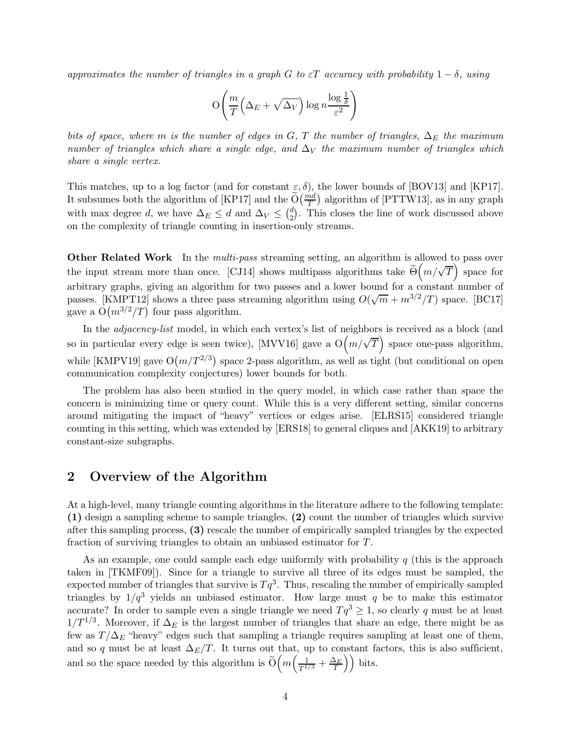approximates the number of triangles in a graph G to  $\varepsilon T$  accuracy with probability  $1 - \delta$ , using

$$
\mathcal{O}\!\left(\frac{m}{T}\!\left(\Delta_E + \sqrt{\Delta_V}\right)\log n\frac{\log\frac{1}{\delta}}{\varepsilon^2}\right)
$$

bits of space, where m is the number of edges in G, T the number of triangles,  $\Delta_E$  the maximum number of triangles which share a single edge, and  $\Delta_V$  the maximum number of triangles which share a single vertex.

This matches, up to a log factor (and for constant  $\varepsilon$ ,  $\delta$ ), the lower bounds of [\[BOV13\]](#page-9-5) and [\[KP17\]](#page-10-4). It subsumes both the algorithm of [\[KP17\]](#page-10-4) and the  $\widetilde{O}(\frac{md}{T})$  algorithm of [\[PTTW13\]](#page-10-1), as in any graph with max degree d, we have  $\Delta_E \leq d$  and  $\Delta_V \leq {d \choose 2}$  $2<sup>d</sup>$ ). This closes the line of work discussed above on the complexity of triangle counting in insertion-only streams.

Other Related Work In the *multi-pass* streaming setting, an algorithm is allowed to pass over the input stream more than once. [\[CJ14\]](#page-9-7) shows multipass algorithms take  $\tilde{\Theta}(m/\sqrt{T})$  space for arbitrary graphs, giving an algorithm for two passes and a lower bound for a constant number of passes. [\[KMPT12\]](#page-10-8) shows a three pass streaming algorithm using  $O(\sqrt{m} + m^{3/2}/T)$  space. [\[BC17\]](#page-9-8) gave a  $O(m^{3/2}/T)$  four pass algorithm.

In the *adjacency-list* model, in which each vertex's list of neighbors is received as a block (and so in particular every edge is seen twice), [\[MVV16\]](#page-10-9) gave a  $O(m/\sqrt{T})$  space one-pass algorithm, while [\[KMPV19\]](#page-10-10) gave  $O(m/T^{2/3})$  space 2-pass algorithm, as well as tight (but conditional on open communication complexity conjectures) lower bounds for both.

The problem has also been studied in the query model, in which case rather than space the concern is minimizing time or query count. While this is a very different setting, similar concerns around mitigating the impact of "heavy" vertices or edges arise. [\[ELRS15\]](#page-9-9) considered triangle counting in this setting, which was extended by [\[ERS18\]](#page-10-11) to general cliques and [\[AKK19\]](#page-9-10) to arbitrary constant-size subgraphs.

### 2 Overview of the Algorithm

At a high-level, many triangle counting algorithms in the literature adhere to the following template: (1) design a sampling scheme to sample triangles, (2) count the number of triangles which survive after this sampling process, (3) rescale the number of empirically sampled triangles by the expected fraction of surviving triangles to obtain an unbiased estimator for T.

As an example, one could sample each edge uniformly with probability  $q$  (this is the approach taken in [\[TKMF09\]](#page-10-2)). Since for a triangle to survive all three of its edges must be sampled, the expected number of triangles that survive is  $Tq^3$ . Thus, rescaling the number of empirically sampled triangles by  $1/q^3$  yields an unbiased estimator. How large must q be to make this estimator accurate? In order to sample even a single triangle we need  $Tq^3 \geq 1$ , so clearly q must be at least  $1/T^{1/3}$ . Moreover, if  $\Delta_E$  is the largest number of triangles that share an edge, there might be as few as  $T/\Delta_E$  "heavy" edges such that sampling a triangle requires sampling at least one of them, and so q must be at least  $\Delta_E/T$ . It turns out that, up to constant factors, this is also sufficient, and so the space needed by this algorithm is  $\widetilde{O}\left(m\left(\frac{1}{T^{1/3}} + \frac{\Delta_E}{T}\right)\right)$  bits.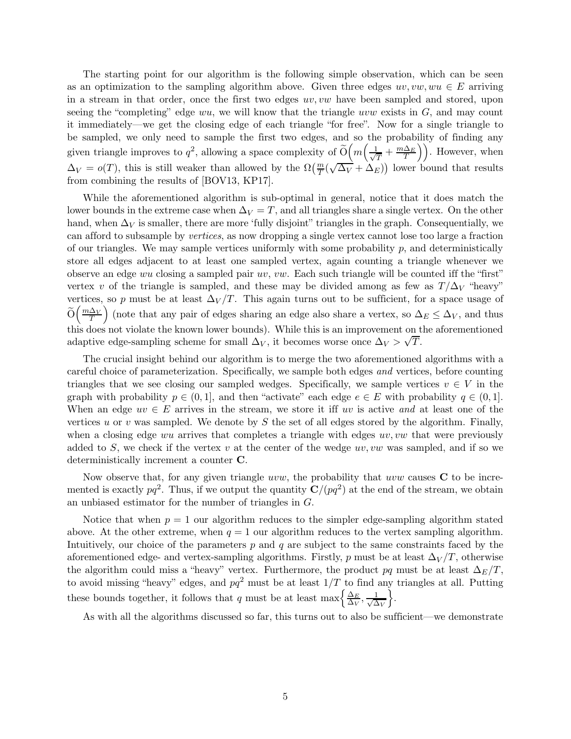The starting point for our algorithm is the following simple observation, which can be seen as an optimization to the sampling algorithm above. Given three edges  $uv, vw, wu \in E$  arriving in a stream in that order, once the first two edges  $uv, vw$  have been sampled and stored, upon seeing the "completing" edge  $wu$ , we will know that the triangle  $uvw$  exists in  $G$ , and may count it immediately—we get the closing edge of each triangle "for free". Now for a single triangle to be sampled, we only need to sample the first two edges, and so the probability of finding any given triangle improves to  $q^2$ , allowing a space complexity of  $\widetilde{O}\left(m\left(\frac{1}{\sqrt{n}}\right)\right)$  $\left(\frac{1}{T} + \frac{m\Delta_E}{T}\right)$ . However, when  $\Delta_V = o(T)$ , this is still weaker than allowed by the  $\Omega(\frac{m}{T}(\sqrt{\Delta_V} + \Delta_E))$  lower bound that results from combining the results of [\[BOV13,](#page-9-5) [KP17\]](#page-10-4).

While the aforementioned algorithm is sub-optimal in general, notice that it does match the lower bounds in the extreme case when  $\Delta V = T$ , and all triangles share a single vertex. On the other hand, when  $\Delta_V$  is smaller, there are more 'fully disjoint'' triangles in the graph. Consequentially, we can afford to subsample by vertices, as now dropping a single vertex cannot lose too large a fraction of our triangles. We may sample vertices uniformly with some probability  $p$ , and deterministically store all edges adjacent to at least one sampled vertex, again counting a triangle whenever we observe an edge wu closing a sampled pair  $uv, vw$ . Each such triangle will be counted iff the "first" vertex v of the triangle is sampled, and these may be divided among as few as  $T/\Delta$ <sub>V</sub> "heavy" vertices, so p must be at least  $\Delta V/T$ . This again turns out to be sufficient, for a space usage of  $\widetilde{O}\left(\frac{m\Delta_V}{T}\right)$ (note that any pair of edges sharing an edge also share a vertex, so  $\Delta_E \leq \Delta_V$ , and thus this does not violate the known lower bounds). While this is an improvement on the aforementioned adaptive edge-sampling scheme for small  $\Delta_V$ , it becomes worse once  $\Delta_V > \sqrt{T}$ .

The crucial insight behind our algorithm is to merge the two aforementioned algorithms with a careful choice of parameterization. Specifically, we sample both edges and vertices, before counting triangles that we see closing our sampled wedges. Specifically, we sample vertices  $v \in V$  in the graph with probability  $p \in (0,1]$ , and then "activate" each edge  $e \in E$  with probability  $q \in (0,1]$ . When an edge  $uv \in E$  arrives in the stream, we store it iff uv is active and at least one of the vertices u or v was sampled. We denote by S the set of all edges stored by the algorithm. Finally, when a closing edge wu arrives that completes a triangle with edges  $uv, vw$  that were previously added to S, we check if the vertex v at the center of the wedge  $uv, vw$  was sampled, and if so we deterministically increment a counter C.

Now observe that, for any given triangle  $uvw$ , the probability that  $uvw$  causes  $C$  to be incremented is exactly  $pq^2$ . Thus, if we output the quantity  $\mathbf{C}/(pq^2)$  at the end of the stream, we obtain an unbiased estimator for the number of triangles in G.

Notice that when  $p = 1$  our algorithm reduces to the simpler edge-sampling algorithm stated above. At the other extreme, when  $q = 1$  our algorithm reduces to the vertex sampling algorithm. Intuitively, our choice of the parameters  $p$  and  $q$  are subject to the same constraints faced by the aforementioned edge- and vertex-sampling algorithms. Firstly, p must be at least  $\Delta_V/T$ , otherwise the algorithm could miss a "heavy" vertex. Furthermore, the product pq must be at least  $\Delta_E/T$ , to avoid missing "heavy" edges, and  $pq^2$  must be at least  $1/T$  to find any triangles at all. Putting these bounds together, it follows that q must be at least max $\left\{\frac{\Delta_E}{\Delta_M}\right\}$  $\frac{\Delta_E}{\Delta_V}, \frac{1}{\sqrt{\Delta}}$  $\Delta_{V}$  $\big\}$ .

As with all the algorithms discussed so far, this turns out to also be sufficient—we demonstrate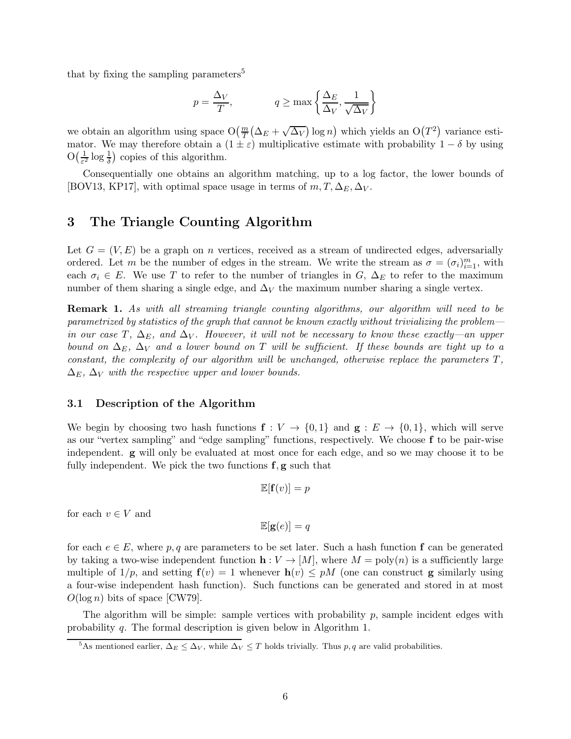that by fixing the sampling parameters<sup>[5](#page-5-0)</sup>

$$
p = \frac{\Delta_V}{T}, \qquad q \ge \max\left\{\frac{\Delta_E}{\Delta_V}, \frac{1}{\sqrt{\Delta_V}}\right\}
$$

we obtain an algorithm using space  $O(\frac{m}{T}(\Delta_E + \sqrt{\Delta_V}) \log n)$  which yields an  $O(T^2)$  variance estimator. We may therefore obtain a  $(1 \pm \varepsilon)$  multiplicative estimate with probability  $1 - \delta$  by using  $O\left(\frac{1}{\epsilon^2}\right)$  $\frac{1}{\varepsilon^2} \log \frac{1}{\delta}$  copies of this algorithm.

Consequentially one obtains an algorithm matching, up to a log factor, the lower bounds of [\[BOV13,](#page-9-5) [KP17\]](#page-10-4), with optimal space usage in terms of  $m, T, \Delta_E, \Delta_V$ .

### 3 The Triangle Counting Algorithm

Let  $G = (V, E)$  be a graph on *n* vertices, received as a stream of undirected edges, adversarially ordered. Let m be the number of edges in the stream. We write the stream as  $\sigma = (\sigma_i)_{i=1}^m$ , with each  $\sigma_i \in E$ . We use T to refer to the number of triangles in G,  $\Delta_E$  to refer to the maximum number of them sharing a single edge, and  $\Delta_V$  the maximum number sharing a single vertex.

**Remark 1.** As with all streaming triangle counting algorithms, our algorithm will need to be parametrized by statistics of the graph that cannot be known exactly without trivializing the problem in our case T,  $\Delta_E$ , and  $\Delta_V$ . However, it will not be necessary to know these exactly—an upper bound on  $\Delta_E$ ,  $\Delta_V$  and a lower bound on T will be sufficient. If these bounds are tight up to a constant, the complexity of our algorithm will be unchanged, otherwise replace the parameters  $T$ ,  $\Delta_E$ ,  $\Delta_V$  with the respective upper and lower bounds.

#### 3.1 Description of the Algorithm

We begin by choosing two hash functions  $f: V \to \{0,1\}$  and  $g: E \to \{0,1\}$ , which will serve as our "vertex sampling" and "edge sampling" functions, respectively. We choose f to be pair-wise independent. g will only be evaluated at most once for each edge, and so we may choose it to be fully independent. We pick the two functions  $f, g$  such that

$$
\mathbb{E}[\mathbf{f}(v)] = p
$$

for each  $v \in V$  and

$$
\mathbb{E}[\mathbf{g}(e)] = q
$$

for each  $e \in E$ , where p, q are parameters to be set later. Such a hash function f can be generated by taking a two-wise independent function  $h: V \to [M]$ , where  $M = \text{poly}(n)$  is a sufficiently large multiple of  $1/p$ , and setting  $f(v) = 1$  whenever  $h(v) \leq pM$  (one can construct g similarly using a four-wise independent hash function). Such functions can be generated and stored in at most  $O(\log n)$  bits of space [\[CW79\]](#page-9-11).

The algorithm will be simple: sample vertices with probability  $p$ , sample incident edges with probability q. The formal description is given below in Algorithm [1.](#page-6-0)

<span id="page-5-0"></span><sup>&</sup>lt;sup>5</sup>As mentioned earlier,  $\Delta_E \leq \Delta_V$ , while  $\Delta_V \leq T$  holds trivially. Thus p, q are valid probabilities.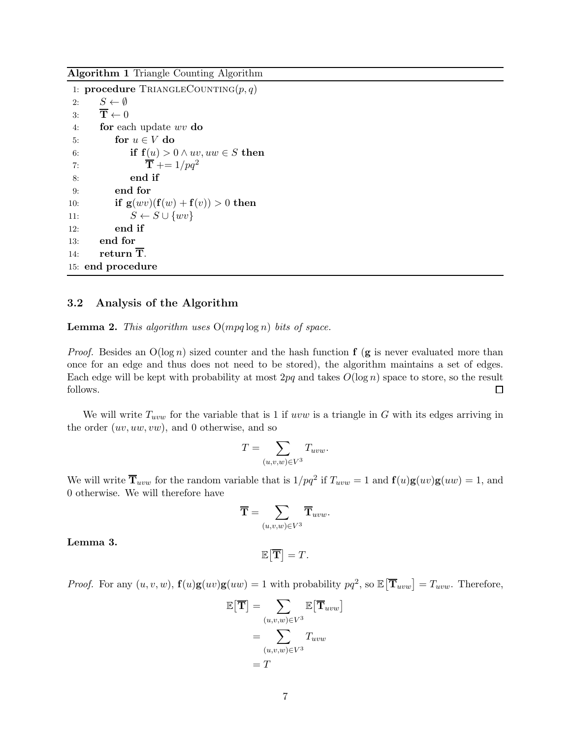<span id="page-6-0"></span>Algorithm 1 Triangle Counting Algorithm

1: procedure TRIANGLECOUNTING $(p, q)$ 2:  $S \leftarrow \emptyset$ <br>3:  $\overline{\mathbf{T}} \leftarrow 0$ 3:  $\overline{T} \leftarrow 0$ <br>4: for eac for each update  $wv$  do 5: for  $u \in V$  do<br>6: if  $f(u) > 0$ if  $f(u) > 0 \wedge uv, uw \in S$  then 7:  $\overline{\mathbf{T}} \mathbf{+} = 1/pq^2$ 8: end if 9: end for 10: **if**  $g(wv)(f(w) + f(v)) > 0$  then 11:  $S \leftarrow S \cup \{wv\}$ <br>12: **end if** end if 13: end for 14: return  $\overline{T}$ . 15: end procedure

#### 3.2 Analysis of the Algorithm

<span id="page-6-2"></span>**Lemma 2.** This algorithm uses  $O(mpq \log n)$  bits of space.

*Proof.* Besides an  $O(\log n)$  sized counter and the hash function **f** (**g** is never evaluated more than once for an edge and thus does not need to be stored), the algorithm maintains a set of edges. Each edge will be kept with probability at most  $2pq$  and takes  $O(\log n)$  space to store, so the result follows.  $\Box$ 

We will write  $T_{uvw}$  for the variable that is 1 if uvw is a triangle in G with its edges arriving in the order  $(uv, uw, vw)$ , and 0 otherwise, and so

$$
T = \sum_{(u,v,w)\in V^3} T_{uvw}.
$$

We will write  $\overline{T}_{uvw}$  for the random variable that is  $1/pq^2$  if  $T_{uvw} = 1$  and  $\mathbf{f}(u)\mathbf{g}(uv)\mathbf{g}(uw) = 1$ , and 0 otherwise. We will therefore have

$$
\overline{\mathbf{T}} = \sum_{(u,v,w) \in V^3} \overline{\mathbf{T}}_{uvw}.
$$

<span id="page-6-1"></span>Lemma 3.

*Proof.* For any  $(u, v, w)$ ,  $\mathbf{f}(u)\mathbf{g}(uv)\mathbf{g}(uw) = 1$  with probability  $pq^2$ , so  $\mathbb{E}[\overline{\mathbf{T}}_{uvw}] = T_{uvw}$ . Therefore,

 $\mathbb{E}[\overline{\mathbf{T}}] = T.$ 

$$
\mathbb{E}[\overline{\mathbf{T}}] = \sum_{(u,v,w)\in V^3} \mathbb{E}[\overline{\mathbf{T}}_{uvw}]
$$

$$
= \sum_{(u,v,w)\in V^3} T_{uvw}
$$

$$
= T
$$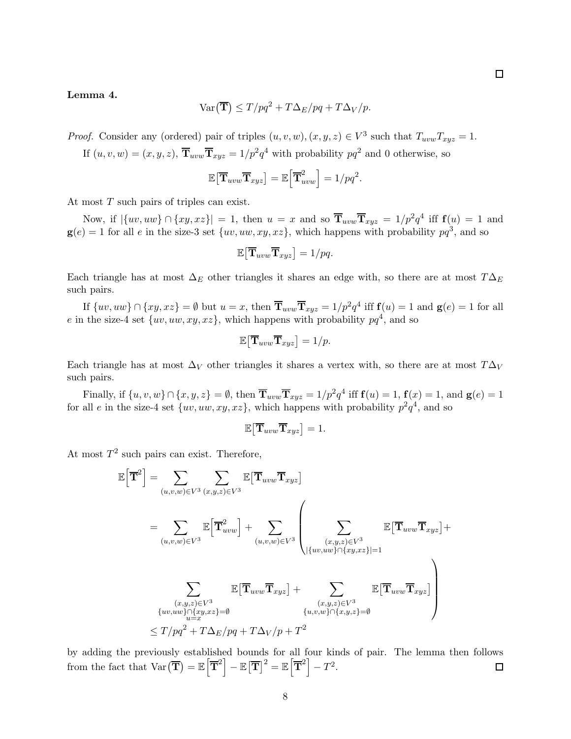#### <span id="page-7-0"></span>Lemma 4.

$$
\text{Var}\left(\overline{\mathbf{T}}\right) \le T/pq^2 + T\Delta_E/pq + T\Delta_V/p.
$$

*Proof.* Consider any (ordered) pair of triples  $(u, v, w), (x, y, z) \in V^3$  such that  $T_{uvw}T_{xyz} = 1$ .

If  $(u, v, w) = (x, y, z)$ ,  $\overline{T}_{uvw}\overline{T}_{xyz} = 1/p^2q^4$  with probability  $pq^2$  and 0 otherwise, so

$$
\mathbb{E}\big[\overline{\mathbf{T}}_{uvw}\overline{\mathbf{T}}_{xyz}\big]=\mathbb{E}\Big[\overline{\mathbf{T}}_{uvw}^2\Big]=1/pq^2.
$$

At most T such pairs of triples can exist.

Now, if  $|\{uv, uw\} \cap \{xy, xz\}| = 1$ , then  $u = x$  and so  $\overline{T}_{uvw}\overline{T}_{xyz} = 1/p^2q^4$  iff  $f(u) = 1$  and  $g(e) = 1$  for all e in the size-3 set  $\{uv, uw, xy, xz\}$ , which happens with probability  $pq^3$ , and so

$$
\mathbb{E}\big[\overline{\mathbf{T}}_{uvw}\overline{\mathbf{T}}_{xyz}\big]=1/pq.
$$

Each triangle has at most  $\Delta_E$  other triangles it shares an edge with, so there are at most  $T\Delta_E$ such pairs.

If  $\{uv, uw\} \cap \{xy, xz\} = \emptyset$  but  $u = x$ , then  $\overline{T}_{uvw}\overline{T}_{xyz} = 1/p^2q^4$  iff  $\mathbf{f}(u) = 1$  and  $\mathbf{g}(e) = 1$  for all e in the size-4 set  $\{uv, uw, xy, xz\}$ , which happens with probability  $pq<sup>4</sup>$ , and so

$$
\mathbb{E}\big[\overline{\mathbf{T}}_{uvw}\overline{\mathbf{T}}_{xyz}\big]=1/p.
$$

Each triangle has at most  $\Delta_V$  other triangles it shares a vertex with, so there are at most  $T\Delta_V$ such pairs.

Finally, if  $\{u, v, w\} \cap \{x, y, z\} = \emptyset$ , then  $\overline{T}_{uvw}\overline{T}_{xyz} = 1/p^2q^4$  iff  $f(u) = 1$ ,  $f(x) = 1$ , and  $g(e) = 1$ for all e in the size-4 set  $\{uv, uw, xy, xz\}$ , which happens with probability  $p^2q^4$ , and so

$$
\mathbb{E}\big[\overline{\mathbf{T}}_{uvw}\overline{\mathbf{T}}_{xyz}\big]=1.
$$

At most  $T^2$  such pairs can exist. Therefore,

$$
\mathbb{E}\left[\overline{\mathbf{T}}^{2}\right] = \sum_{(u,v,w)\in V^{3}} \sum_{(x,y,z)\in V^{3}} \mathbb{E}\left[\overline{\mathbf{T}}_{uvw}\overline{\mathbf{T}}_{xyz}\right]
$$
\n
$$
= \sum_{(u,v,w)\in V^{3}} \mathbb{E}\left[\overline{\mathbf{T}}_{uvw}^{2}\right] + \sum_{(u,v,w)\in V^{3}} \left(\sum_{\substack{(x,y,z)\in V^{3} \ | \{uv,uw\}\cap\{xy,xz\} = 1}} \mathbb{E}\left[\overline{\mathbf{T}}_{uvw}\overline{\mathbf{T}}_{xyz}\right] + \sum_{\substack{(x,y,z)\in V^{3} \ | \ uv,uw\}\cap\{xy,xz\} = 0}} \mathbb{E}\left[\overline{\mathbf{T}}_{uvw}\overline{\mathbf{T}}_{xyz}\right] + \sum_{\substack{(x,y,z)\in V^{3} \ | \ uv,uv\}\cap\{x,y,z\} = \emptyset}} \mathbb{E}\left[\overline{\mathbf{T}}_{uvw}\overline{\mathbf{T}}_{xyz}\right] + \sum_{\substack{(x,y,z)\in V^{3} \ | \ uv,uv\}\cap\{x,y,z\} = \emptyset}} \mathbb{E}\left[\overline{\mathbf{T}}_{uvw}\overline{\mathbf{T}}_{xyz}\right]
$$

by adding the previously established bounds for all four kinds of pair. The lemma then follows from the fact that  $\text{Var}\left(\overline{\mathbf{T}}\right) = \mathbb{E}\left[\overline{\mathbf{T}}^2\right] - \mathbb{E}\left[\overline{\mathbf{T}}\right]^2 = \mathbb{E}\left[\overline{\mathbf{T}}^2\right] - T^2.$  $\Box$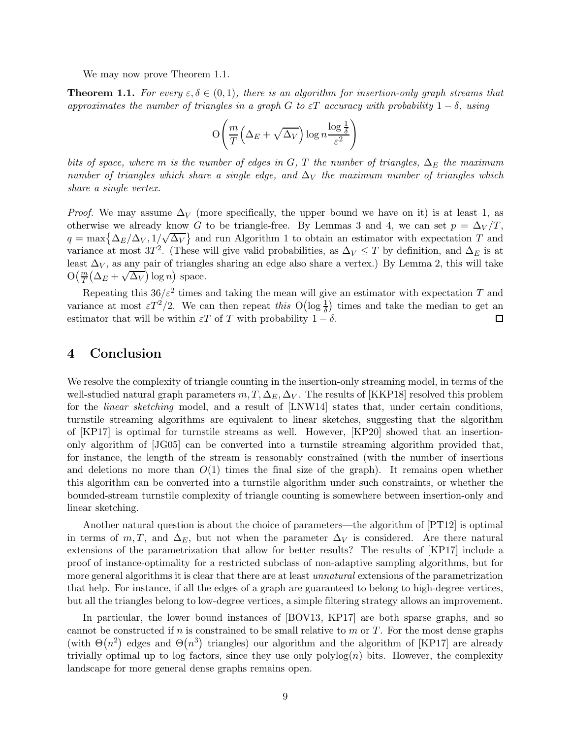We may now prove Theorem [1.1.](#page-2-1)

**Theorem 1.1.** For every  $\varepsilon, \delta \in (0,1)$ , there is an algorithm for insertion-only graph streams that approximates the number of triangles in a graph G to  $\varepsilon T$  accuracy with probability  $1-\delta$ , using

$$
\mathcal{O}\!\left(\frac{m}{T}\left(\Delta_E + \sqrt{\Delta_V}\right)\log n \frac{\log\frac{1}{\delta}}{\varepsilon^2}\right)
$$

bits of space, where m is the number of edges in G, T the number of triangles,  $\Delta_E$  the maximum number of triangles which share a single edge, and  $\Delta_V$  the maximum number of triangles which share a single vertex.

*Proof.* We may assume  $\Delta_V$  (more specifically, the upper bound we have on it) is at least 1, as otherwise we already know G to be triangle-free. By Lemmas [3](#page-6-1) and [4,](#page-7-0) we can set  $p = \Delta_V/T$ .  $q = \max\left\{\frac{\Delta_E}{\Delta_V}, \frac{1}{\sqrt{\Delta_V}}\right\}$  and run Algorithm [1](#page-6-0) to obtain an estimator with expectation T and variance at most 3T<sup>2</sup>. (These will give valid probabilities, as  $\Delta_V \leq T$  by definition, and  $\Delta_E$  is at least  $\Delta_V$ , as any pair of triangles sharing an edge also share a vertex.) By Lemma [2,](#page-6-2) this will take  $\mathcal{O}\left(\frac{m}{T}\left(\Delta_E + \sqrt{\Delta_V}\right) \log n\right)$  space.

Repeating this  $36/\varepsilon^2$  times and taking the mean will give an estimator with expectation T and variance at most  $\epsilon T^2/2$ . We can then repeat this  $O(\log \frac{1}{\delta})$  times and take the median to get an estimator that will be within  $\varepsilon T$  of T with probability  $1 - \delta$ .  $\Box$ 

### 4 Conclusion

We resolve the complexity of triangle counting in the insertion-only streaming model, in terms of the well-studied natural graph parameters  $m, T, \Delta_E, \Delta_V$ . The results of [\[KKP18\]](#page-10-5) resolved this problem for the *linear sketching* model, and a result of [\[LNW14\]](#page-10-6) states that, under certain conditions, turnstile streaming algorithms are equivalent to linear sketches, suggesting that the algorithm of [\[KP17\]](#page-10-4) is optimal for turnstile streams as well. However, [\[KP20\]](#page-10-7) showed that an insertiononly algorithm of [\[JG05\]](#page-10-0) can be converted into a turnstile streaming algorithm provided that, for instance, the length of the stream is reasonably constrained (with the number of insertions and deletions no more than  $O(1)$  times the final size of the graph). It remains open whether this algorithm can be converted into a turnstile algorithm under such constraints, or whether the bounded-stream turnstile complexity of triangle counting is somewhere between insertion-only and linear sketching.

Another natural question is about the choice of parameters—the algorithm of [\[PT12\]](#page-10-3) is optimal in terms of m, T, and  $\Delta_E$ , but not when the parameter  $\Delta_V$  is considered. Are there natural extensions of the parametrization that allow for better results? The results of [\[KP17\]](#page-10-4) include a proof of instance-optimality for a restricted subclass of non-adaptive sampling algorithms, but for more general algorithms it is clear that there are at least *unnatural* extensions of the parametrization that help. For instance, if all the edges of a graph are guaranteed to belong to high-degree vertices, but all the triangles belong to low-degree vertices, a simple filtering strategy allows an improvement.

In particular, the lower bound instances of [\[BOV13,](#page-9-5) [KP17\]](#page-10-4) are both sparse graphs, and so cannot be constructed if n is constrained to be small relative to m or  $T$ . For the most dense graphs (with  $\Theta(n^2)$  edges and  $\Theta(n^3)$  triangles) our algorithm and the algorithm of [\[KP17\]](#page-10-4) are already trivially optimal up to log factors, since they use only  $polylog(n)$  bits. However, the complexity landscape for more general dense graphs remains open.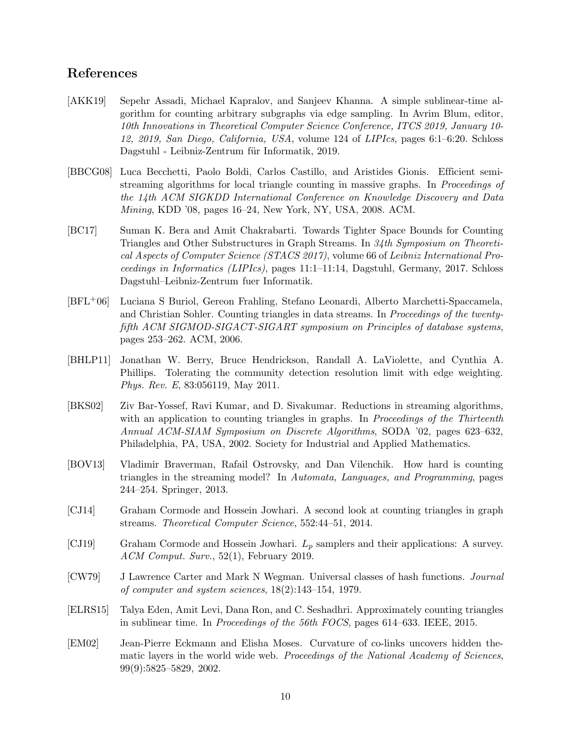## References

- <span id="page-9-10"></span>[AKK19] Sepehr Assadi, Michael Kapralov, and Sanjeev Khanna. A simple sublinear-time algorithm for counting arbitrary subgraphs via edge sampling. In Avrim Blum, editor, 10th Innovations in Theoretical Computer Science Conference, ITCS 2019, January 10- 12, 2019, San Diego, California, USA, volume 124 of LIPIcs, pages 6:1–6:20. Schloss Dagstuhl - Leibniz-Zentrum für Informatik, 2019.
- <span id="page-9-2"></span>[BBCG08] Luca Becchetti, Paolo Boldi, Carlos Castillo, and Aristides Gionis. Efficient semistreaming algorithms for local triangle counting in massive graphs. In Proceedings of the 14th ACM SIGKDD International Conference on Knowledge Discovery and Data Mining, KDD '08, pages 16–24, New York, NY, USA, 2008. ACM.
- <span id="page-9-8"></span>[BC17] Suman K. Bera and Amit Chakrabarti. Towards Tighter Space Bounds for Counting Triangles and Other Substructures in Graph Streams. In 34th Symposium on Theoretical Aspects of Computer Science (STACS 2017), volume 66 of Leibniz International Proceedings in Informatics (LIPIcs), pages 11:1–11:14, Dagstuhl, Germany, 2017. Schloss Dagstuhl–Leibniz-Zentrum fuer Informatik.
- <span id="page-9-4"></span>[BFL+06] Luciana S Buriol, Gereon Frahling, Stefano Leonardi, Alberto Marchetti-Spaccamela, and Christian Sohler. Counting triangles in data streams. In Proceedings of the twentyfifth ACM SIGMOD-SIGACT-SIGART symposium on Principles of database systems, pages 253–262. ACM, 2006.
- <span id="page-9-0"></span>[BHLP11] Jonathan W. Berry, Bruce Hendrickson, Randall A. LaViolette, and Cynthia A. Phillips. Tolerating the community detection resolution limit with edge weighting. Phys. Rev. E, 83:056119, May 2011.
- <span id="page-9-3"></span>[BKS02] Ziv Bar-Yossef, Ravi Kumar, and D. Sivakumar. Reductions in streaming algorithms, with an application to counting triangles in graphs. In *Proceedings of the Thirteenth* Annual ACM-SIAM Symposium on Discrete Algorithms, SODA '02, pages 623–632, Philadelphia, PA, USA, 2002. Society for Industrial and Applied Mathematics.
- <span id="page-9-5"></span>[BOV13] Vladimir Braverman, Rafail Ostrovsky, and Dan Vilenchik. How hard is counting triangles in the streaming model? In Automata, Languages, and Programming, pages 244–254. Springer, 2013.
- <span id="page-9-7"></span>[CJ14] Graham Cormode and Hossein Jowhari. A second look at counting triangles in graph streams. Theoretical Computer Science, 552:44–51, 2014.
- <span id="page-9-6"></span>[CJ19] Graham Cormode and Hossein Jowhari.  $L_p$  samplers and their applications: A survey. ACM Comput. Surv., 52(1), February 2019.
- <span id="page-9-11"></span>[CW79] J Lawrence Carter and Mark N Wegman. Universal classes of hash functions. Journal of computer and system sciences, 18(2):143–154, 1979.
- <span id="page-9-9"></span>[ELRS15] Talya Eden, Amit Levi, Dana Ron, and C. Seshadhri. Approximately counting triangles in sublinear time. In Proceedings of the 56th FOCS, pages 614–633. IEEE, 2015.
- <span id="page-9-1"></span>[EM02] Jean-Pierre Eckmann and Elisha Moses. Curvature of co-links uncovers hidden thematic layers in the world wide web. Proceedings of the National Academy of Sciences, 99(9):5825–5829, 2002.